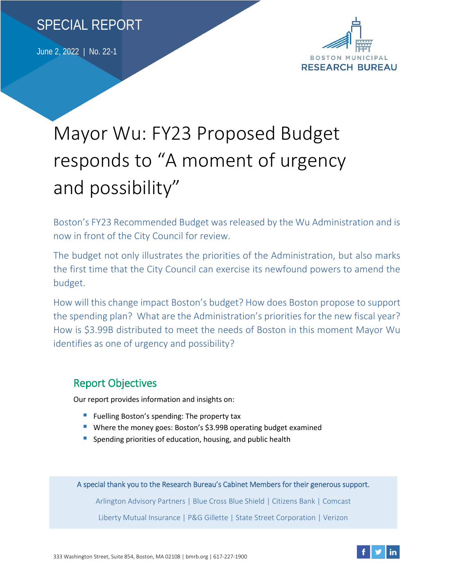

June 2, 2022 | No. 22-1



# Mayor Wu: FY23 Proposed Budget responds to "A moment of urgency and possibility"

Boston's FY23 Recommended Budget was released by the Wu Administration and is now in front of the City Council for review.

The budget not only illustrates the priorities of the Administration, but also marks the first time that the City Council can exercise its newfound powers to amend the budget.

How will this change impact Boston's budget? How does Boston propose to support the spending plan? What are the Administration's priorities for the new fiscal year? How is \$3.99B distributed to meet the needs of Boston in this moment Mayor Wu identifies as one of urgency and possibility?

### Report Objectives

Our report provides information and insights on:

- **Fuelling Boston's spending: The property tax**
- Where the money goes: Boston's \$3.99B operating budget examined
- Spending priorities of education, housing, and public health

A special thank you to the Research Bureau's Cabinet Members for their generous support. Arlington Advisory Partners | Blue Cross Blue Shield | Citizens Bank | Comcast

Liberty Mutual Insurance | P&G Gillette | State Street Corporation | Verizon

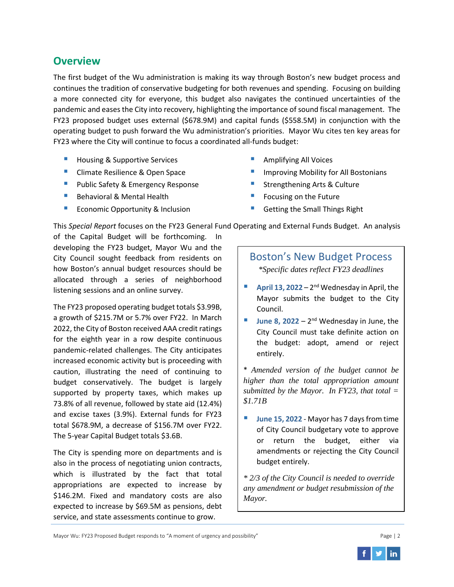#### **Overview**

The first budget of the Wu administration is making its way through Boston's new budget process and continues the tradition of conservative budgeting for both revenues and spending. Focusing on building a more connected city for everyone, this budget also navigates the continued uncertainties of the pandemic and eases the City into recovery, highlighting the importance of sound fiscal management. The FY23 proposed budget uses external (\$678.9M) and capital funds (\$558.5M) in conjunction with the operating budget to push forward the Wu administration's priorities. Mayor Wu cites ten key areas for FY23 where the City will continue to focus a coordinated all-funds budget:

- **Housing & Supportive Services**
- **Climate Resilience & Open Space**
- Public Safety & Emergency Response
- Behavioral & Mental Health
- **Exercise Conomic Opportunity & Inclusion**
- Amplifying All Voices
- Improving Mobility for All Bostonians
- Strengthening Arts & Culture
- Focusing on the Future
- Getting the Small Things Right

This *Special Report* focuses on the FY23 General Fund Operating and External Funds Budget. An analysis

of the Capital Budget will be forthcoming. In developing the FY23 budget, Mayor Wu and the City Council sought feedback from residents on how Boston's annual budget resources should be allocated through a series of neighborhood listening sessions and an online survey.

The FY23 proposed operating budget totals \$3.99B, a growth of \$215.7M or 5.7% over FY22. In March 2022, the City of Boston received AAA credit ratings for the eighth year in a row despite continuous pandemic-related challenges. The City anticipates increased economic activity but is proceeding with caution, illustrating the need of continuing to budget conservatively. The budget is largely supported by property taxes, which makes up 73.8% of all revenue, followed by state aid (12.4%) and excise taxes (3.9%). External funds for FY23 total \$678.9M, a decrease of \$156.7M over FY22. The 5-year Capital Budget totals \$3.6B.

The City is spending more on departments and is also in the process of negotiating union contracts, which is illustrated by the fact that total appropriations are expected to increase by \$146.2M. Fixed and mandatory costs are also expected to increase by \$69.5M as pensions, debt service, and state assessments continue to grow.

## Boston's New Budget Process

*\*Specific dates reflect FY23 deadlines*

- **April 13, 2022** 2<sup>nd</sup> Wednesday in April, the Mayor submits the budget to the City Council.
- **June 8, 2022**  $2^{nd}$  Wednesday in June, the City Council must take definite action on the budget: adopt, amend or reject entirely.

\* *Amended version of the budget cannot be higher than the total appropriation amount submitted by the Mayor. In FY23, that total = \$1.71B*

**June 15, 2022 - Mayor has 7 days from time** of City Council budgetary vote to approve or return the budget, either via amendments or rejecting the City Council budget entirely.

*\* 2/3 of the City Council is needed to override any amendment or budget resubmission of the Mayor.* 

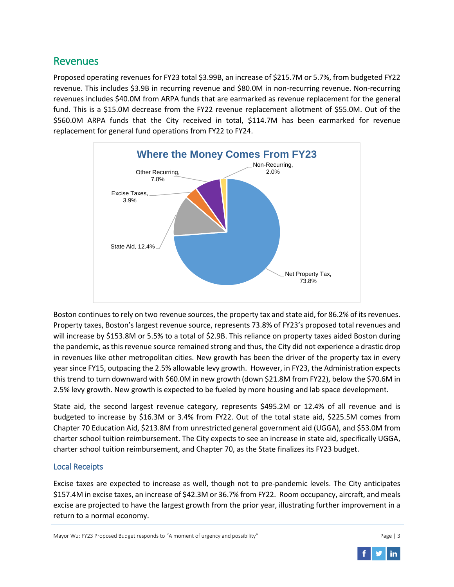#### Revenues

Proposed operating revenues for FY23 total \$3.99B, an increase of \$215.7M or 5.7%, from budgeted FY22 revenue. This includes \$3.9B in recurring revenue and \$80.0M in non-recurring revenue. Non-recurring revenues includes \$40.0M from ARPA funds that are earmarked as revenue replacement for the general fund. This is a \$15.0M decrease from the FY22 revenue replacement allotment of \$55.0M. Out of the \$560.0M ARPA funds that the City received in total, \$114.7M has been earmarked for revenue replacement for general fund operations from FY22 to FY24.



Boston continues to rely on two revenue sources, the property tax and state aid, for 86.2% of its revenues. Property taxes, Boston's largest revenue source, represents 73.8% of FY23's proposed total revenues and will increase by \$153.8M or 5.5% to a total of \$2.9B. This reliance on property taxes aided Boston during the pandemic, as this revenue source remained strong and thus, the City did not experience a drastic drop in revenues like other metropolitan cities. New growth has been the driver of the property tax in every year since FY15, outpacing the 2.5% allowable levy growth. However, in FY23, the Administration expects this trend to turn downward with \$60.0M in new growth (down \$21.8M from FY22), below the \$70.6M in 2.5% levy growth. New growth is expected to be fueled by more housing and lab space development.

State aid, the second largest revenue category, represents \$495.2M or 12.4% of all revenue and is budgeted to increase by \$16.3M or 3.4% from FY22. Out of the total state aid, \$225.5M comes from Chapter 70 Education Aid, \$213.8M from unrestricted general government aid (UGGA), and \$53.0M from charter school tuition reimbursement. The City expects to see an increase in state aid, specifically UGGA, charter school tuition reimbursement, and Chapter 70, as the State finalizes its FY23 budget.

#### Local Receipts

Excise taxes are expected to increase as well, though not to pre-pandemic levels. The City anticipates \$157.4M in excise taxes, an increase of \$42.3M or 36.7% from FY22. Room occupancy, aircraft, and meals excise are projected to have the largest growth from the prior year, illustrating further improvement in a return to a normal economy.

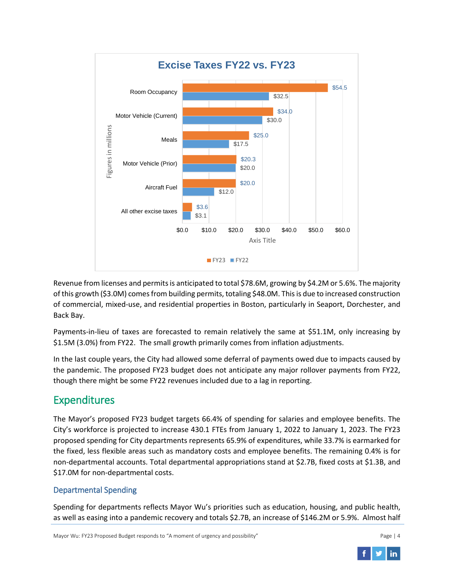

Revenue from licenses and permits is anticipated to total \$78.6M, growing by \$4.2M or 5.6%. The majority of this growth (\$3.0M) comes from building permits, totaling \$48.0M. This is due to increased construction of commercial, mixed-use, and residential properties in Boston, particularly in Seaport, Dorchester, and Back Bay.

Payments-in-lieu of taxes are forecasted to remain relatively the same at \$51.1M, only increasing by \$1.5M (3.0%) from FY22. The small growth primarily comes from inflation adjustments.

In the last couple years, the City had allowed some deferral of payments owed due to impacts caused by the pandemic. The proposed FY23 budget does not anticipate any major rollover payments from FY22, though there might be some FY22 revenues included due to a lag in reporting.

## Expenditures

The Mayor's proposed FY23 budget targets 66.4% of spending for salaries and employee benefits. The City's workforce is projected to increase 430.1 FTEs from January 1, 2022 to January 1, 2023. The FY23 proposed spending for City departments represents 65.9% of expenditures, while 33.7% is earmarked for the fixed, less flexible areas such as mandatory costs and employee benefits. The remaining 0.4% is for non-departmental accounts. Total departmental appropriations stand at \$2.7B, fixed costs at \$1.3B, and \$17.0M for non-departmental costs.

#### Departmental Spending

Spending for departments reflects Mayor Wu's priorities such as education, housing, and public health, as well as easing into a pandemic recovery and totals \$2.7B, an increase of \$146.2M or 5.9%. Almost half

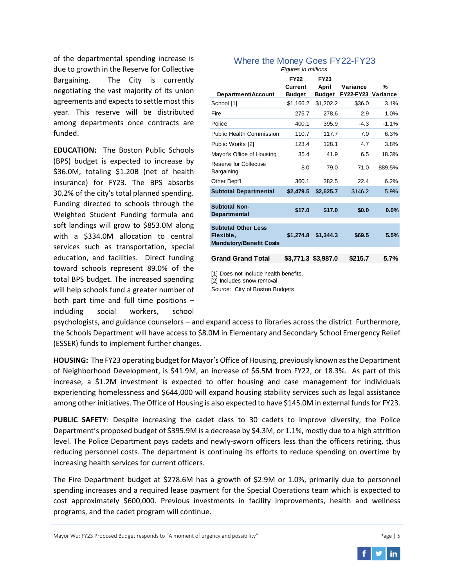of the departmental spending increase is due to growth in the Reserve for Collective Bargaining. The City is currently negotiating the vast majority of its union agreements and expects to settle most this year. This reserve will be distributed among departments once contracts are funded.

**EDUCATION:** The Boston Public Schools (BPS) budget is expected to increase by \$36.0M, totaling \$1.20B (net of health insurance) for FY23. The BPS absorbs 30.2% of the city's total planned spending. Funding directed to schools through the Weighted Student Funding formula and soft landings will grow to \$853.0M along with a \$334.0M allocation to central services such as transportation, special education, and facilities. Direct funding toward schools represent 89.0% of the total BPS budget. The increased spending will help schools fund a greater number of both part time and full time positions – including social workers, school

| т қин <del>с</del> ә ттттинонә                                            |                                         |                                |                                |         |
|---------------------------------------------------------------------------|-----------------------------------------|--------------------------------|--------------------------------|---------|
| Department/Account                                                        | <b>FY22</b><br>Current<br><b>Budget</b> | <b>FY23</b><br>April<br>Budget | Variance<br>FY22-FY23 Variance | %       |
| School [1]                                                                | \$1,166.2                               | \$1,202.2                      | \$36.0                         | 3.1%    |
| Fire                                                                      | 275.7                                   | 278.6                          | 2.9                            | 1.0%    |
| Police                                                                    | 400.1                                   | 395.9                          | $-4.3$                         | $-1.1%$ |
| <b>Public Health Commission</b>                                           | 110.7                                   | 117.7                          | 7.0                            | 6.3%    |
| Public Works [2]                                                          | 123.4                                   | 128.1                          | 4.7                            | 3.8%    |
| Mayor's Office of Housing                                                 | 35.4                                    | 41.9                           | 6.5                            | 18.3%   |
| Reserve for Collective<br>Bargaining                                      | 8.0                                     | 79.0                           | 71.0                           | 889.5%  |
| Other Dept'l                                                              | 360.1                                   | 382.5                          | 22.4                           | 6.2%    |
| <b>Subtotal Departmental</b>                                              | \$2,479.5                               | \$2,625.7                      | \$146.2                        | 5.9%    |
| <b>Subtotal Non-</b><br>Departmental                                      | \$17.0                                  | \$17.0                         | \$0.0                          | 0.0%    |
| <b>Subtotal Other Less</b><br>Flexible.<br><b>Mandatory/Benefit Costs</b> | \$1,274.8                               | \$1,344.3                      | \$69.5                         | 5.5%    |
| <b>Grand Grand Total</b>                                                  |                                         | \$3,771.3 \$3,987.0            | \$215.7                        | 5.7%    |

Where the Money Goes FY22-FY23 *Figures in millions*

[1] Does not include health benefits. [2] Includes snow removal. Source: City of Boston Budgets

psychologists, and guidance counselors – and expand access to libraries across the district. Furthermore, the Schools Department will have access to \$8.0M in Elementary and Secondary School Emergency Relief (ESSER) funds to implement further changes.

**HOUSING:** The FY23 operating budget for Mayor's Office of Housing, previously known as the Department of Neighborhood Development, is \$41.9M, an increase of \$6.5M from FY22, or 18.3%. As part of this increase, a \$1.2M investment is expected to offer housing and case management for individuals experiencing homelessness and \$644,000 will expand housing stability services such as legal assistance among other initiatives. The Office of Housing is also expected to have \$145.0M in external funds for FY23.

**PUBLIC SAFETY**: Despite increasing the cadet class to 30 cadets to improve diversity, the Police Department's proposed budget of \$395.9M is a decrease by \$4.3M, or 1.1%, mostly due to a high attrition level. The Police Department pays cadets and newly-sworn officers less than the officers retiring, thus reducing personnel costs. The department is continuing its efforts to reduce spending on overtime by increasing health services for current officers.

The Fire Department budget at \$278.6M has a growth of \$2.9M or 1.0%, primarily due to personnel spending increases and a required lease payment for the Special Operations team which is expected to cost approximately \$600,000. Previous investments in facility improvements, health and wellness programs, and the cadet program will continue.

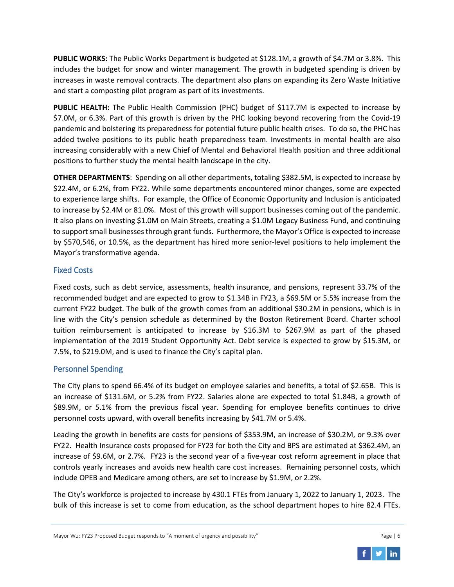**PUBLIC WORKS:** The Public Works Department is budgeted at \$128.1M, a growth of \$4.7M or 3.8%. This includes the budget for snow and winter management. The growth in budgeted spending is driven by increases in waste removal contracts. The department also plans on expanding its Zero Waste Initiative and start a composting pilot program as part of its investments.

**PUBLIC HEALTH:** The Public Health Commission (PHC) budget of \$117.7M is expected to increase by \$7.0M, or 6.3%. Part of this growth is driven by the PHC looking beyond recovering from the Covid-19 pandemic and bolstering its preparedness for potential future public health crises. To do so, the PHC has added twelve positions to its public heath preparedness team. Investments in mental health are also increasing considerably with a new Chief of Mental and Behavioral Health position and three additional positions to further study the mental health landscape in the city.

**OTHER DEPARTMENTS**: Spending on all other departments, totaling \$382.5M, is expected to increase by \$22.4M, or 6.2%, from FY22. While some departments encountered minor changes, some are expected to experience large shifts. For example, the Office of Economic Opportunity and Inclusion is anticipated to increase by \$2.4M or 81.0%. Most of this growth will support businesses coming out of the pandemic. It also plans on investing \$1.0M on Main Streets, creating a \$1.0M Legacy Business Fund, and continuing to support small businesses through grant funds. Furthermore, the Mayor's Office is expected to increase by \$570,546, or 10.5%, as the department has hired more senior-level positions to help implement the Mayor's transformative agenda.

#### Fixed Costs

Fixed costs, such as debt service, assessments, health insurance, and pensions, represent 33.7% of the recommended budget and are expected to grow to \$1.34B in FY23, a \$69.5M or 5.5% increase from the current FY22 budget. The bulk of the growth comes from an additional \$30.2M in pensions, which is in line with the City's pension schedule as determined by the Boston Retirement Board. Charter school tuition reimbursement is anticipated to increase by \$16.3M to \$267.9M as part of the phased implementation of the 2019 Student Opportunity Act. Debt service is expected to grow by \$15.3M, or 7.5%, to \$219.0M, and is used to finance the City's capital plan.

#### Personnel Spending

The City plans to spend 66.4% of its budget on employee salaries and benefits, a total of \$2.65B. This is an increase of \$131.6M, or 5.2% from FY22. Salaries alone are expected to total \$1.84B, a growth of \$89.9M, or 5.1% from the previous fiscal year. Spending for employee benefits continues to drive personnel costs upward, with overall benefits increasing by \$41.7M or 5.4%.

Leading the growth in benefits are costs for pensions of \$353.9M, an increase of \$30.2M, or 9.3% over FY22. Health Insurance costs proposed for FY23 for both the City and BPS are estimated at \$362.4M, an increase of \$9.6M, or 2.7%. FY23 is the second year of a five-year cost reform agreement in place that controls yearly increases and avoids new health care cost increases. Remaining personnel costs, which include OPEB and Medicare among others, are set to increase by \$1.9M, or 2.2%.

The City's workforce is projected to increase by 430.1 FTEs from January 1, 2022 to January 1, 2023. The bulk of this increase is set to come from education, as the school department hopes to hire 82.4 FTEs.

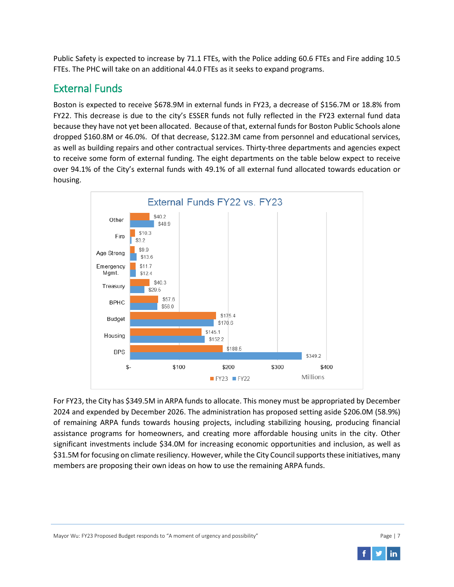Public Safety is expected to increase by 71.1 FTEs, with the Police adding 60.6 FTEs and Fire adding 10.5 FTEs. The PHC will take on an additional 44.0 FTEs as it seeks to expand programs.

## External Funds

Boston is expected to receive \$678.9M in external funds in FY23, a decrease of \$156.7M or 18.8% from FY22. This decrease is due to the city's ESSER funds not fully reflected in the FY23 external fund data because they have not yet been allocated. Because of that, external funds for Boston Public Schools alone dropped \$160.8M or 46.0%. Of that decrease, \$122.3M came from personnel and educational services, as well as building repairs and other contractual services. Thirty-three departments and agencies expect to receive some form of external funding. The eight departments on the table below expect to receive over 94.1% of the City's external funds with 49.1% of all external fund allocated towards education or housing.



For FY23, the City has \$349.5M in ARPA funds to allocate. This money must be appropriated by December 2024 and expended by December 2026. The administration has proposed setting aside \$206.0M (58.9%) of remaining ARPA funds towards housing projects, including stabilizing housing, producing financial assistance programs for homeowners, and creating more affordable housing units in the city. Other significant investments include \$34.0M for increasing economic opportunities and inclusion, as well as \$31.5M for focusing on climate resiliency. However, while the City Council supports these initiatives, many members are proposing their own ideas on how to use the remaining ARPA funds.